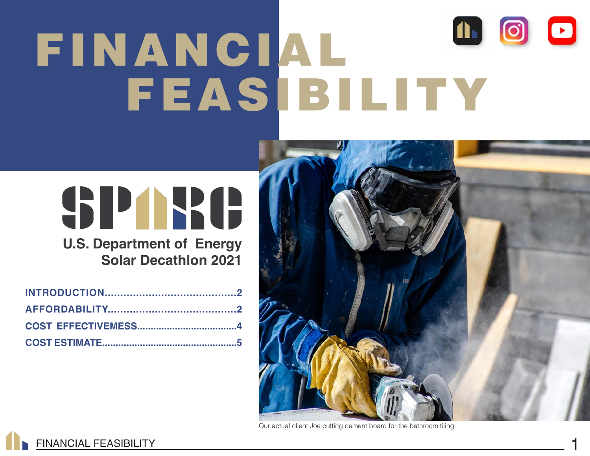# 1600 FINANCIAL FEASIBILITY

# SPARC

**U.S. Department of Energy Solar Decathlon 2021**



Our actual client Joe cutting cement board for the bathroom tiling.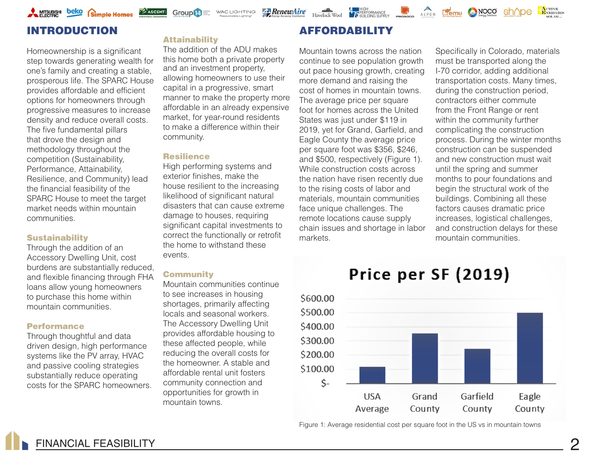# INTRODUCTION

Homeownership is a significant step towards generating wealth for one's family and creating a stable, prosperous life. The SPARC House provides affordable and efficient options for homeowners through progressive measures to increase density and reduce overall costs. The five fundamental pillars that drove the design and methodology throughout the competition (Sustainability, Performance, Attainability, Resilience, and Community) lead the financial feasibility of the SPARC House to meet the target market needs within mountain communities.

# **Sustainability**

Through the addition of an Accessory Dwelling Unit, cost burdens are substantially reduced, and flexible financing through FHA loans allow young homeowners to purchase this home within mountain communities.

## Performance

Through thoughtful and data driven design, high performance systems like the PV array, HVAC and passive cooling strategies substantially reduce operating costs for the SPARC homeowners.

# **Attainability**

**ASCENTI** 

and an investment property, allowing homeowners to use their capital in a progressive, smart manner to make the property more affordable in an already expensive market, for year-round residents to make a difference within their community. The addition of the ADU makes this home both a private property

**Group 14** WAC LIGHTING

# **Resilience**

High performing systems and exterior finishes, make the house resilient to the increasing likelihood of significant natural disasters that can cause extreme damage to houses, requiring significant capital investments to correct the functionally or retrofit the home to withstand these events.

# **Community**

Mountain communities continue to see increases in housing shortages, primarily affecting locals and seasonal workers. The Accessory Dwelling Unit provides affordable housing to these affected people, while reducing the overall costs for the homeowner. A stable and affordable rental unit fosters community connection and opportunities for growth in mountain towns.

# **AFFORDABILITY**

**RenewAire** 

4 75 BERFORMANCE

Mountain towns across the nation continue to see population growth out pace housing growth, creating more demand and raising the cost of homes in mountain towns. The average price per square foot for homes across the United States was just under \$119 in 2019, yet for Grand, Garfield, and Eagle County the average price per square foot was \$356, \$246, and \$500, respectively (Figure 1). While construction costs across the nation have risen recently due to the rising costs of labor and materials, mountain communities face unique challenges. The remote locations cause supply chain issues and shortage in labor markets.

Specifically in Colorado, materials must be transported along the I-70 corridor, adding additional transportation costs. Many times, during the construction period, contractors either commute from the Front Range or rent within the community further complicating the construction process. During the winter months construction can be suspended and new construction must wait until the spring and summer months to pour foundations and begin the structural work of the buildings. Combining all these factors causes dramatic price increases, logistical challenges, and construction delays for these mountain communities.

ALPEN **ETERNO (CONOCO** 

ACTIVE<br>ENERGIES

sh^ne



Figure 1: Average residential cost per square foot in the US vs in mountain towns

# Price per SF (2019)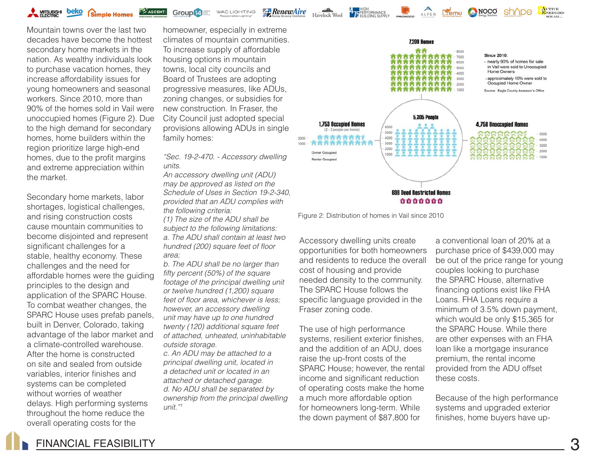**Group 14** Elitings WAC LIGHTING **ASCENT!** 

Mountain towns over the last two decades have become the hottest secondary home markets in the nation. As wealthy individuals look to purchase vacation homes, they increase affordability issues for young homeowners and seasonal workers. Since 2010, more than 90% of the homes sold in Vail were unoccupied homes (Figure 2). Due to the high demand for secondary homes, home builders within the region prioritize large high-end homes, due to the profit margins and extreme appreciation within the market.

Secondary home markets, labor shortages, logistical challenges, and rising construction costs cause mountain communities to become disjointed and represent significant challenges for a stable, healthy economy. These challenges and the need for affordable homes were the guiding principles to the design and application of the SPARC House. To combat weather changes, the SPARC House uses prefab panels, built in Denver, Colorado, taking advantage of the labor market and a climate-controlled warehouse. After the home is constructed on site and sealed from outside variables, interior finishes and systems can be completed without worries of weather delays. High performing systems throughout the home reduce the overall operating costs for the

homeowner, especially in extreme climates of mountain communities. To increase supply of affordable housing options in mountain towns, local city councils and Board of Trustees are adopting progressive measures, like ADUs, zoning changes, or subsidies for new construction. In Fraser, the City Council just adopted special provisions allowing ADUs in single family homes:

**Z**RenewAire

Havelock Wool

*"Sec. 19-2-470. - Accessory dwelling units.*

*An accessory dwelling unit (ADU) may be approved as listed on the Schedule of Uses in Section 19-2-340, provided that an ADU complies with the following criteria:*

*(1) The size of the ADU shall be subject to the following limitations: a. The ADU shall contain at least two hundred (200) square feet of floor area;*

*b. The ADU shall be no larger than fifty percent (50%) of the square footage of the principal dwelling unit or twelve hundred (1,200) square feet of floor area, whichever is less; however, an accessory dwelling unit may have up to one hundred twenty (120) additional square feet of attached, unheated, uninhabitable outside storage.*

*c. An ADU may be attached to a principal dwelling unit, located in a detached unit or located in an attached or detached garage. d. No ADU shall be separated by ownership from the principal dwelling unit."1*



BUILDING SUPPLY PROSOCO COMPLETE REMARKABLEMS; COMPLETE

Figure 2: Distribution of homes in Vail since 2010

Accessory dwelling units create opportunities for both homeowners and residents to reduce the overall cost of housing and provide needed density to the community. The SPARC House follows the specific language provided in the Fraser zoning code.

The use of high performance systems, resilient exterior finishes, and the addition of an ADU, does raise the up-front costs of the SPARC House; however, the rental income and significant reduction of operating costs make the home a much more affordable option for homeowners long-term. While the down payment of \$87,800 for

a conventional loan of 20% at a purchase price of \$439,000 may be out of the price range for young couples looking to purchase the SPARC House, alternative financing options exist like FHA Loans. FHA Loans require a minimum of 3.5% down payment, which would be only \$15,365 for the SPARC House. While there are other expenses with an FHA loan like a mortgage insurance premium, the rental income provided from the ADU offset these costs.

Because of the high performance systems and upgraded exterior finishes, home buyers have up-

FINANCIAL FEASIBILITY 3

ACTIVE<br>ENERGIES

shane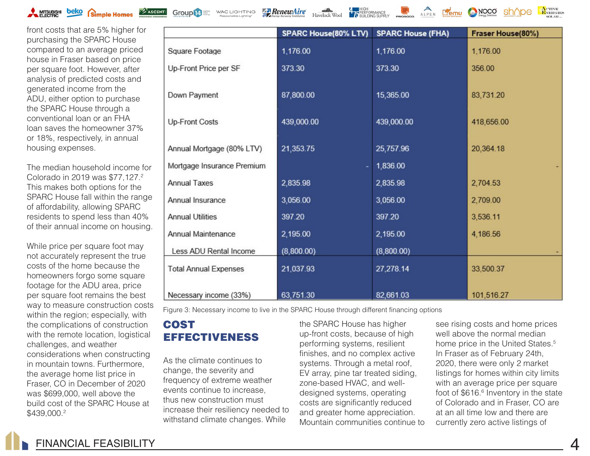

**Group 14** WAC LIGHTING

**RenewAire** 

ALPEN **Lemu C NOCO** 

ACTIVE<br>ENERGIES

front costs that are 5% higher for purchasing the SPARC House compared to an average priced house in Fraser based on price per square foot. However, after analysis of predicted costs and generated income from the ADU, either option to purchase the SPARC House through a conventional loan or an FHA loan saves the homeowner 37% or 18%, respectively, in annual housing expenses.

The median household income for Colorado in 2019 was \$77,127.2 This makes both options for the SPARC House fall within the range of affordability, allowing SPARC residents to spend less than 40% of their annual income on housing.

While price per square foot may not accurately represent the true costs of the home because the homeowners forgo some square footage for the ADU area, price per square foot remains the best way to measure construction costs within the region; especially, with the complications of construction with the remote location, logistical challenges, and weather considerations when constructing in mountain towns. Furthermore, the average home list price in Fraser, CO in December of 2020 was \$699,000, well above the build cost of the SPARC House at \$439,000.<sup>2</sup>

|                              | <b>SPARC House(80% LTV)</b> | <b>SPARC House (FHA)</b> | Fraser House(80%) |
|------------------------------|-----------------------------|--------------------------|-------------------|
| Square Footage               | 1,176.00                    | 1,176.00                 | 1,176.00          |
| Up-Front Price per SF        | 373.30                      | 373.30                   | 356.00            |
| Down Payment                 | 87,800.00                   | 15,365.00                | 83,731.20         |
| <b>Up-Front Costs</b>        | 439,000.00                  | 439,000.00               | 418,656.00        |
| Annual Mortgage (80% LTV)    | 21,353.75                   | 25,757.96                | 20,364.18         |
| Mortgage Insurance Premium   |                             | 1,836.00                 |                   |
| <b>Annual Taxes</b>          | 2,835.98                    | 2,835.98                 | 2,704.53          |
| Annual Insurance             | 3,056.00                    | 3,056.00                 | 2,709.00          |
| <b>Annual Utilities</b>      | 397.20                      | 397.20                   | 3,536.11          |
| Annual Maintenance           | 2,195.00                    | 2,195.00                 | 4,186.56          |
| Less ADU Rental Income       | (8,800.00)                  | (8,800.00)               |                   |
| <b>Total Annual Expenses</b> | 21,037.93                   | 27,278.14                | 33,500.37         |
| Necessary income (33%)       | 63,751.30                   | 82,661.03                | 101,516.27        |

**ALL HIGH<br>LA PERFORMANCE** 

Figure 3: Necessary income to live in the SPARC House through different financing options

# **COST** EFFECTIVENESS

As the climate continues to change, the severity and frequency of extreme weather events continue to increase, thus new construction must increase their resiliency needed to withstand climate changes. While

the SPARC House has higher up-front costs, because of high performing systems, resilient finishes, and no complex active systems. Through a metal roof, EV array, pine tar treated siding, zone-based HVAC, and welldesigned systems, operating costs are significantly reduced and greater home appreciation. Mountain communities continue to see rising costs and home prices well above the normal median home price in the United States.<sup>5</sup> In Fraser as of February 24th, 2020, there were only 2 market listings for homes within city limits with an average price per square foot of \$616.<sup>6</sup> Inventory in the state of Colorado and in Fraser, CO are at an all time low and there are currently zero active listings of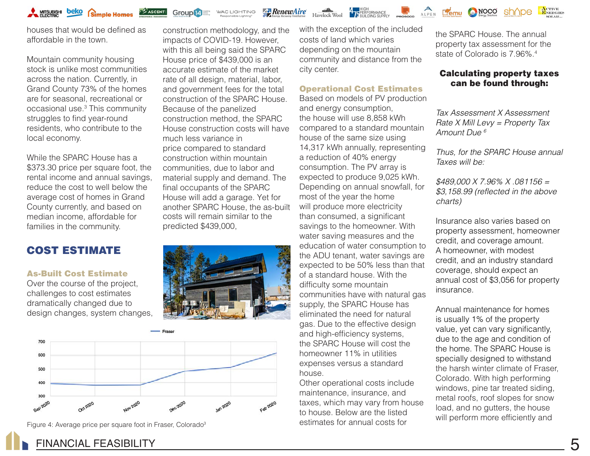

houses that would be defined as affordable in the town.

Mountain community housing stock is unlike most communities across the nation. Currently, in Grand County 73% of the homes are for seasonal, recreational or occasional use.3 This community struggles to find year-round residents, who contribute to the local economy.

While the SPARC House has a \$373.30 price per square foot, the rental income and annual savings, reduce the cost to well below the average cost of homes in Grand County currently, and based on median income, affordable for families in the community.

# COST ESTIMATE

# As-Built Cost Estimate

Over the course of the project, challenges to cost estimates dramatically changed due to design changes, system changes,

construction methodology, and the impacts of COVID-19. However, with this all being said the SPARC House price of \$439,000 is an accurate estimate of the market rate of all design, material, labor, and government fees for the total construction of the SPARC House. Because of the panelized construction method, the SPARC House construction costs will have much less variance in price compared to standard construction within mountain communities, due to labor and material supply and demand. The final occupants of the SPARC House will add a garage. Yet for another SPARC House, the as-built costs will remain similar to the predicted \$439,000,

**Group 14** WAC LIGHTING

**RenewAire** 





Figure 4: Average price per square foot in Fraser, Colorado<sup>3</sup>

with the exception of the included costs of land which varies depending on the mountain community and distance from the city center.

Havelock Wool 17 BULDING SUPPLY PROGRAM ALPEN **LAND MORE AREA** 

### Operational Cost Estimates

Based on models of PV production and energy consumption, the house will use 8,858 kWh compared to a standard mountain house of the same size using 14,317 kWh annually, representing a reduction of 40% energy consumption. The PV array is expected to produce 9,025 kWh. Depending on annual snowfall, for most of the year the home will produce more electricity than consumed, a significant savings to the homeowner. With water saving measures and the education of water consumption to the ADU tenant, water savings are expected to be 50% less than that of a standard house. With the difficulty some mountain communities have with natural gas supply, the SPARC House has eliminated the need for natural gas. Due to the effective design and high-efficiency systems, the SPARC House will cost the homeowner 11% in utilities expenses versus a standard house.

Other operational costs include maintenance, insurance, and taxes, which may vary from house to house. Below are the listed estimates for annual costs for

the SPARC House. The annual property tax assessment for the state of Colorado is 7.96%<sup>4</sup>

# Calculating property taxes can be found through:

ACTIVE<br>ENERGIES

*Tax Assessment X Assessment Rate X Mill Levy = Property Tax Amount Due 6*

*Thus, for the SPARC House annual Taxes will be:*

*\$489,000 X 7.96% X .081156 = \$3,158.99 (reflected in the above charts)*

Insurance also varies based on property assessment, homeowner credit, and coverage amount. A homeowner, with modest credit, and an industry standard coverage, should expect an annual cost of \$3,056 for property insurance.

Annual maintenance for homes is usually 1% of the property value, yet can vary significantly, due to the age and condition of the home. The SPARC House is specially designed to withstand the harsh winter climate of Fraser, Colorado. With high performing windows, pine tar treated siding, metal roofs, roof slopes for snow load, and no gutters, the house will perform more efficiently and

# FINANCIAL FEASIBILITY 5